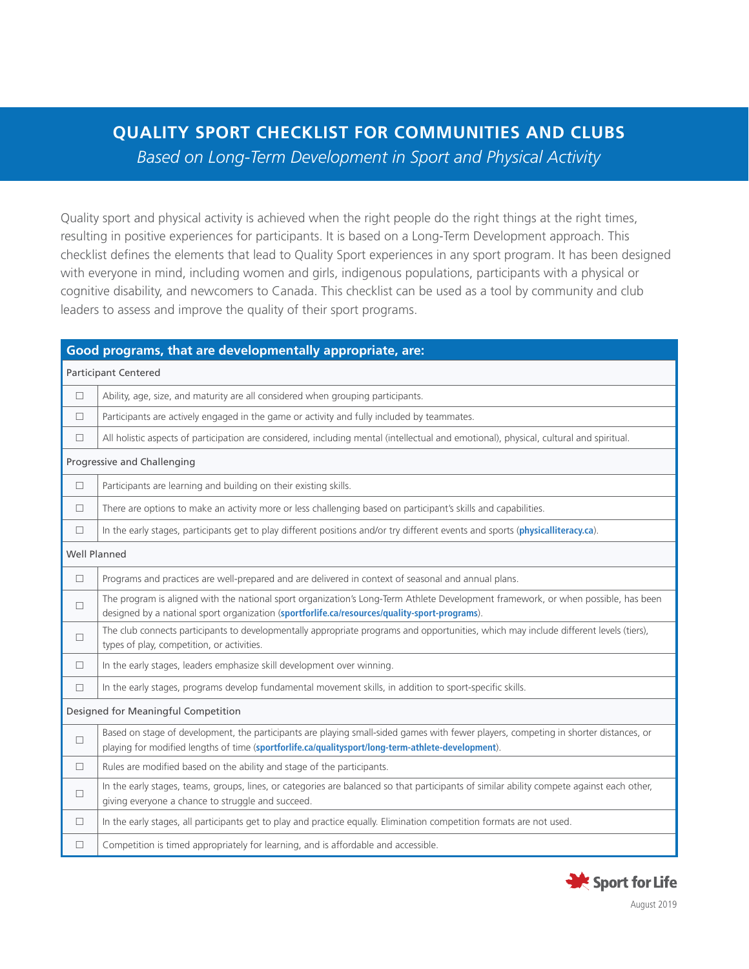## **QUALITY SPORT CHECKLIST FOR COMMUNITIES AND CLUBS**

*Based on Long-Term Development in Sport and Physical Activity*

Quality sport and physical activity is achieved when the right people do the right things at the right times, resulting in positive experiences for participants. It is based on a Long-Term Development approach. This checklist defines the elements that lead to Quality Sport experiences in any sport program. It has been designed with everyone in mind, including women and girls, indigenous populations, participants with a physical or cognitive disability, and newcomers to Canada. This checklist can be used as a tool by community and club leaders to assess and improve the quality of their sport programs.

| Good programs, that are developmentally appropriate, are: |                                                                                                                                                                                                                                            |  |
|-----------------------------------------------------------|--------------------------------------------------------------------------------------------------------------------------------------------------------------------------------------------------------------------------------------------|--|
| <b>Participant Centered</b>                               |                                                                                                                                                                                                                                            |  |
| $\Box$                                                    | Ability, age, size, and maturity are all considered when grouping participants.                                                                                                                                                            |  |
| $\Box$                                                    | Participants are actively engaged in the game or activity and fully included by teammates.                                                                                                                                                 |  |
| $\Box$                                                    | All holistic aspects of participation are considered, including mental (intellectual and emotional), physical, cultural and spiritual.                                                                                                     |  |
| Progressive and Challenging                               |                                                                                                                                                                                                                                            |  |
| $\Box$                                                    | Participants are learning and building on their existing skills.                                                                                                                                                                           |  |
| $\Box$                                                    | There are options to make an activity more or less challenging based on participant's skills and capabilities.                                                                                                                             |  |
| $\Box$                                                    | In the early stages, participants get to play different positions and/or try different events and sports (physicalliteracy.ca).                                                                                                            |  |
| Well Planned                                              |                                                                                                                                                                                                                                            |  |
| $\Box$                                                    | Programs and practices are well-prepared and are delivered in context of seasonal and annual plans.                                                                                                                                        |  |
| $\Box$                                                    | The program is aligned with the national sport organization's Long-Term Athlete Development framework, or when possible, has been<br>designed by a national sport organization (sportforlife.ca/resources/quality-sport-programs).         |  |
| $\Box$                                                    | The club connects participants to developmentally appropriate programs and opportunities, which may include different levels (tiers),<br>types of play, competition, or activities.                                                        |  |
| $\Box$                                                    | In the early stages, leaders emphasize skill development over winning.                                                                                                                                                                     |  |
| $\Box$                                                    | In the early stages, programs develop fundamental movement skills, in addition to sport-specific skills.                                                                                                                                   |  |
| Designed for Meaningful Competition                       |                                                                                                                                                                                                                                            |  |
| $\Box$                                                    | Based on stage of development, the participants are playing small-sided games with fewer players, competing in shorter distances, or<br>playing for modified lengths of time (sportforlife.ca/qualitysport/long-term-athlete-development). |  |
| $\Box$                                                    | Rules are modified based on the ability and stage of the participants.                                                                                                                                                                     |  |
| $\Box$                                                    | In the early stages, teams, groups, lines, or categories are balanced so that participants of similar ability compete against each other,<br>giving everyone a chance to struggle and succeed.                                             |  |
| $\Box$                                                    | In the early stages, all participants get to play and practice equally. Elimination competition formats are not used.                                                                                                                      |  |
| $\Box$                                                    | Competition is timed appropriately for learning, and is affordable and accessible.                                                                                                                                                         |  |